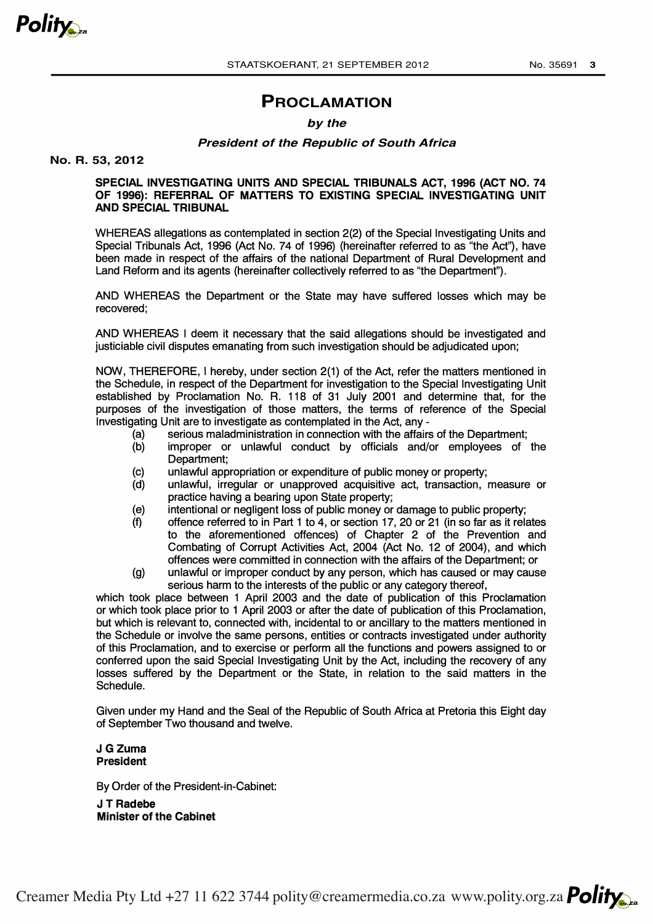

# **PROCLAMATION**

### **by the**

### **President of the Republic of South Africa**

**No. R. 53, 2012**

### SPECIAL INVESTIGATING UNITS AND SPECIAL TRIBUNALS ACT, 1996 (ACT NO. 74 OF 1996): REFERRAL OF MATTERS TO EXISTING SPECIAL INVESTIGATING UNIT AND SPECIAL TRIBUNAL

WHEREAS allegations as contemplated in section 2(2) of the Special Investigating Units and Special Tribunals Act, 1996 (Act No. 74 of 1996) (hereinafter referred to as "the Act"), have been made in respect of the affairs of the national Department of Rural Development and Land Reform and its agents (hereinafter collectively referred to as "the Department").

AND WHEREAS the Department or the State may have suffered losses which may be recovered;

AND WHEREAS I deem it necessary that the said allegations should be investigated and justiciable civil disputes emanating from such investigation should be adjudicated upon;

NOW, THEREFORE, I hereby, under section 2(1) of the Act, refer the matters mentioned in the Schedule, in respect of the Department for investigation to the Special Investigating Unit established by Proclamation No. R. 118 of 31 July 2001 and determine that, for the purposes of the investigation of those matters, the terms of reference of the Special Investigating Unit are to investigate as contemplated in the Act, any-

- (a) serious maladministration in connection with the affairs of the Department;
- (b) improper or unlawful conduct by officials and/or employees of the Department;
- (c) unlawful appropriation or expenditure of public money or property;
- (d) unlawful, irregular or unapproved acquisitive act, transaction, measure or practice having a bearing upon State property;
- (e) intentional or negligent loss of public money or damage to public property;
- (f) offence referred to in Part 1 to 4, or section 17, 20 or 21 (in so far as it relates to the aforementioned offences) of Chapter 2 of the Prevention and Combating of Corrupt Activities Act, 2004 (Act No. 12 of 2004), and which offences were committed in connection with the affairs of the Department; or
- (g) unlawful or improper conduct by any person, which has caused or may cause serious harm to the interests of the public or any category thereof.

which took place between 1 April 2003 and the date of publication of this Proclamation or which took place prior to 1 April 2003 or after the date of publication of this Proclamation, but which is relevant to, connected with, incidental to or ancillary to the matters mentioned in the Schedule or involve the same persons, entities or contracts investigated under authority of this Proclamation, and to exercise or perform all the functions and powers assigned to or conferred upon the said Special Investigating Unit by the Act, including the recovery of any losses suffered by the Department or the State, in relation to the said matters in the Schedule.

Given under my Hand and the Seal of the Republic of South Africa at Pretoria this Eight day of September Two thousand and twelve.

#### J G Zuma President

By Order of the President-in-Cabinet:

J T Radebe Minister of the Cabinet